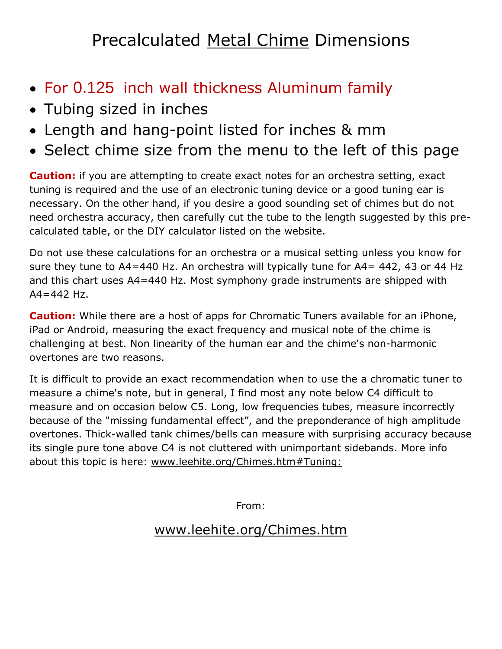## Precalculated Metal Chime Dimensions

- For 0.125 inch wall thickness Aluminum family
- Tubing sized in inches
- Length and hang-point listed for inches & mm
- Select chime size from the menu to the left of this page

**Caution:** if you are attempting to create exact notes for an orchestra setting, exact tuning is required and the use of an electronic tuning device or a good tuning ear is necessary. On the other hand, if you desire a good sounding set of chimes but do not need orchestra accuracy, then carefully cut the tube to the length suggested by this precalculated table, or the DIY calculator listed on the website.

Do not use these calculations for an orchestra or a musical setting unless you know for sure they tune to A4=440 Hz. An orchestra will typically tune for A4= 442, 43 or 44 Hz and this chart uses A4=440 Hz. Most symphony grade instruments are shipped with  $A4 = 442$  Hz.

**Caution:** While there are a host of apps for Chromatic Tuners available for an iPhone, iPad or Android, measuring the exact frequency and musical note of the chime is challenging at best. Non linearity of the human ear and the chime's non-harmonic overtones are two reasons.

It is difficult to provide an exact recommendation when to use the a chromatic tuner to measure a chime's note, but in general, I find most any note below C4 difficult to measure and on occasion below C5. Long, low frequencies tubes, measure incorrectly because of the "missing fundamental effect", and the preponderance of high amplitude overtones. Thick-walled tank chimes/bells can measure with surprising accuracy because its single pure tone above C4 is not cluttered with unimportant sidebands. More info about this topic is here: [www.leehite.org/Chimes.htm#Tuning:](http://leehite.org/Chimes.htm#Tuning:)

From:

## [www.leehite.org/Chimes.htm](http://www.leehite.org/Chimes.htm)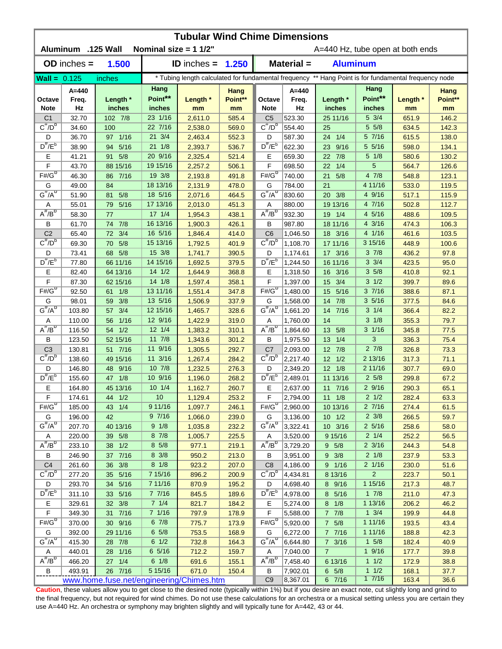| <b>Tubular Wind Chime Dimensions</b><br>Aluminum .125 Wall<br>Nominal size = $11/2$ "<br>A=440 Hz, tube open at both ends |                                          |                        |                            |                    |                 |                                                                                                      |                      |                        |                          |                |                 |  |
|---------------------------------------------------------------------------------------------------------------------------|------------------------------------------|------------------------|----------------------------|--------------------|-----------------|------------------------------------------------------------------------------------------------------|----------------------|------------------------|--------------------------|----------------|-----------------|--|
|                                                                                                                           | $OD$ inches $=$                          | 1.500                  | <b>ID</b> inches = $1.250$ |                    |                 | Material =                                                                                           |                      |                        | <b>Aluminum</b>          |                |                 |  |
| $Wall = 0.125$                                                                                                            |                                          | inches                 |                            |                    |                 | * Tubing length calculated for fundamental frequency ** Hang Point is for fundamental frequency node |                      |                        |                          |                |                 |  |
| Octave                                                                                                                    | A=440<br>Freq.                           | Length *               | Hang<br>Point**            | Length *           | Hang<br>Point** | Octave                                                                                               | $A=440$<br>Freq.     | Length *               | Hang<br>Point**          | Length *       | Hang<br>Point** |  |
| <b>Note</b><br>C <sub>1</sub>                                                                                             | Hz<br>32.70                              | inches<br>102 7/8      | inches<br>23 1/16          | mm<br>2,611.0      | mm<br>585.4     | <b>Note</b><br>C <sub>5</sub>                                                                        | Hz<br>523.30         | inches<br>25 11/16     | inches<br>5 3/4          | mm<br>651.9    | mm<br>146.2     |  |
| $C^{\#}/D^b$                                                                                                              | 34.60                                    | 100                    | 22 7/16                    | 2,538.0            | 569.0           | $C^{\#}/D^D$                                                                                         | 554.40               | 25                     | 5 5/8                    | 634.5          | 142.3           |  |
| D                                                                                                                         | 36.70                                    | 97 1/16                | 21 3/4                     | 2,463.4            | 552.3           | D                                                                                                    | 587.30               | 1/4<br>24              | 5 7/16                   | 615.5          | 138.0           |  |
| $D^{\#}/E^b$                                                                                                              | 38.90                                    | 5/16<br>94             | $21 \t1/8$                 | 2,393.7            | 536.7           | $D^{\#}/E^b$                                                                                         | 622.30               | 23 9/16                | 5 5/16                   | 598.0          | 134.1           |  |
| Ε                                                                                                                         | 41.21                                    | 91 5/8                 | 20 9/16                    | 2,325.4            | 521.4           | Е                                                                                                    | 659.30               | 7/8<br>22              | $5 \frac{1}{8}$          | 580.6          | 130.2           |  |
| F                                                                                                                         | 43.70                                    | 88 15/16               | 19 15/16                   | 2,257.2            | 506.1           | F                                                                                                    | 698.50               | 1/4<br>22              | 5                        | 564.7          | 126.6           |  |
| $F# / G^D$                                                                                                                | 46.30                                    | 7/16<br>86             | 19 3/8                     | 2,193.8            | 491.8           | $F#/\overline{G}^D$                                                                                  | 740.00               | 21<br>5/8              | 4 7/8                    | 548.8          | 123.1           |  |
| G                                                                                                                         | 49.00                                    | 84                     | 18 13/16                   | 2,131.9            | 478.0           | G                                                                                                    | 784.00               | 21                     | 4 11/16                  | 533.0          | 119.5           |  |
| $G^{\#}/A^D$                                                                                                              | 51.90                                    | 5/8<br>81              | 18 5/16                    | 2,071.6            | 464.5           | $G^{\overline{n}}/A^D$                                                                               | 830.60               | 20 3/8                 | 4 9/16                   | 517.1          | 115.9           |  |
| A                                                                                                                         | 55.01                                    | 5/16<br>79             | 17 13/16                   | 2,013.0            | 451.3           | Α                                                                                                    | 880.00               | 19 13/16               | 4 7/16                   | 502.8          | 112.7           |  |
| $A^{\#}/B^{\circ}$                                                                                                        | 58.30                                    | 77                     | $17 \frac{1}{4}$           | 1,954.3            | 438.1           | $A^H/B^D$                                                                                            | 932.30               | 1/4<br>19              | 4 5/16                   | 488.6          | 109.5           |  |
| В                                                                                                                         | 61.70                                    | 7/8<br>74              | 16 13/16                   | 1,900.3            | 426.1           | В                                                                                                    | 987.80               | 18 11/16               | 4 3/16                   | 474.3          | 106.3           |  |
| C <sub>2</sub>                                                                                                            | 65.40                                    | 3/4<br>72              | 16 5/16                    | 1,846.4            | 414.0           | C <sub>6</sub>                                                                                       | 1,046.50             | 18 3/16                | 4 1/16                   | 461.6          | 103.5           |  |
| $C^{\#}/D^D$                                                                                                              | 69.30                                    | 5/8<br>70              | 15 13/16                   | 1,792.5            | 401.9           | $C^{\#}/D^D$                                                                                         | 1,108.70             | 17 11/16               | 3 15/16                  | 448.9          | 100.6           |  |
| D                                                                                                                         | 73.41                                    | 68 5/8                 | 15 3/8                     | 1,741.7            | 390.5           | D                                                                                                    | 1,174.61             | 17 3/16                | $3 \frac{7}{8}$          | 436.2          | 97.8            |  |
| $D^{\pi}/E^b$                                                                                                             | 77.80                                    | 66 11/16               | 14 15/16                   | 1,692.5            | 379.5           | $D^{\pi}/E^b$                                                                                        | 1,244.50             | 16 11/16               | $3 \frac{3}{4}$          | 423.5          | 95.0            |  |
| Е                                                                                                                         | 82.40                                    | 64 13/16               | $14 \frac{1}{2}$           | 1,644.9            | 368.8           | Е                                                                                                    | 1,318.50             | 3/16<br>16             | $3\,5/8$                 | 410.8          | 92.1            |  |
| F<br>$F# / G^D$                                                                                                           | 87.30                                    | 62 15/16               | 14 1/8<br>13 11/16         | 1,597.4            | 358.1           | F<br>$F#/\overline{G}^D$                                                                             | 1,397.00             | 15<br>3/4              | $3 \frac{1}{2}$<br>37/16 | 399.7          | 89.6            |  |
| G                                                                                                                         | 92.50<br>98.01                           | 1/8<br>61<br>3/8<br>59 | 13 5/16                    | 1,551.4<br>1,506.9 | 347.8<br>337.9  | G                                                                                                    | 1,480.00<br>1,568.00 | 15<br>5/16<br>14 7/8   | 35/16                    | 388.6<br>377.5 | 87.1<br>84.6    |  |
| $G^{\#}/A^D$                                                                                                              | 103.80                                   | 3/4<br>57              | 12 15/16                   | 1,465.7            | 328.6           | $G^H/A^D$                                                                                            | 1,661.20             | 14 7/16                | $3 \t1/4$                | 366.4          | 82.2            |  |
| Α                                                                                                                         | 110.00                                   | $1/16$<br>56           | 12 9/16                    | 1,422.9            | 319.0           | Α                                                                                                    | 1,760.00             | 14                     | $3 \frac{1}{8}$          | 355.3          | 79.7            |  |
| $A^H/B^D$                                                                                                                 | 116.50                                   | 1/2<br>54              | $12 \frac{1}{4}$           | 1,383.2            | 310.1           | $A^H/B^D$                                                                                            | 1,864.60             | 13 5/8                 | $3 \frac{1}{16}$         | 345.8          | 77.5            |  |
| В                                                                                                                         | 123.50                                   | 52 15/16               | 11 7/8                     | 1,343.6            | 301.2           | В                                                                                                    | 1,975.50             | 13 1/4                 | 3                        | 336.3          | 75.4            |  |
| C <sub>3</sub>                                                                                                            | 130.81                                   | 51 7/16                | 11 9/16                    | 1,305.5            | 292.7           | C7                                                                                                   | 2,093.00             | 12 7/8                 | 27/8                     | 326.8          | 73.3            |  |
| $C^{\prime\prime}/D^{\prime\prime}$                                                                                       | 138.60                                   | 49 15/16               | 11 3/16                    | 1,267.4            | 284.2           | $C^{\#}/D^b$                                                                                         | 2,217.40             | $12 \t1/2$             | 2 13/16                  | 317.3          | 71.1            |  |
| D                                                                                                                         | 146.80                                   | 48 9/16                | $10 \t7/8$                 | 1,232.5            | 276.3           | D                                                                                                    | 2,349.20             | $12 \t1/8$             | 211/16                   | 307.7          | 69.0            |  |
| $D^{\#}/E^b$                                                                                                              | 155.60                                   | 47 1/8                 | 10 9/16                    | 1,196.0            | 268.2           | $D^{\#}/E^b$                                                                                         | 2,489.01             | 11 13/16               | $2\,5/8$                 | 299.8          | 67.2            |  |
| Е                                                                                                                         | 164.80                                   | 45 13/16               | 101/4                      | 1,162.7            | 260.7           | Е                                                                                                    | 2,637.00             | 11 7/16                | 29/16                    | 290.3          | 65.1            |  |
| F                                                                                                                         | 174.61                                   | 44<br>1/2              | 10                         | 1,129.4            | 253.2           | F                                                                                                    | 2,794.00             | $11 \t1/8$             | $2 \frac{1}{2}$          | 282.4          | 63.3            |  |
| $F#/\overline{G}^{\sigma}$                                                                                                | 185.00                                   | 43 1/4                 | 9 11/16                    | 1,097.7            | 246.1           | $F#/G^D$                                                                                             | 2,960.00             | 10 13/16               | 27/16                    | 274.4          | 61.5            |  |
| G                                                                                                                         | 196.00                                   | 42                     | 97/16                      | 1,066.0            | 239.0           | G                                                                                                    | 3,136.00             | $10 \t1/2$             | $2 \frac{3}{8}$          | 266.5          | 59.7            |  |
| $G^{\#}/A^D$                                                                                                              | 207.70                                   | 40 13/16               | 9 1/8                      | 1,035.8            | 232.2           | $G^H/A^D$                                                                                            | 3,322.41             | 10 3/16                | $2\;5/16$                | 258.6          | 58.0            |  |
| A                                                                                                                         | 220.00                                   | 39 5/8                 | 8 7/8                      | 1,005.7            | 225.5           | A                                                                                                    | 3,520.00             | 9 15/16                | $2 \t1/4$                | 252.2          | 56.5            |  |
| $A^{\#}/B^D$                                                                                                              | 233.10                                   | 38 1/2                 | $8\,5/8$                   | 977.1              | 219.1           | $A^{\#}/B^D$                                                                                         | 3,729.20             | 9 5/8                  | $2 \frac{3}{16}$         | 244.3          | 54.8            |  |
| В                                                                                                                         | 246.90                                   | 37 7/16                | 8 3/8                      | 950.2              | 213.0           | В                                                                                                    | 3,951.00             | $9 \frac{3}{8}$        | $2 \frac{1}{8}$          | 237.9          | 53.3            |  |
| C <sub>4</sub>                                                                                                            | 261.60                                   | 36 3/8                 | $8 \frac{1}{8}$            | 923.2              | 207.0           | C <sub>8</sub>                                                                                       | 4,186.00             | 9 1/16                 | 2 1/16                   | 230.0          | 51.6            |  |
| $C^{\#}/D^b$                                                                                                              | 277.20                                   | 35 5/16                | 7 15/16                    | 896.2              | 200.9           | $C^{\#}/D^b$                                                                                         | 4,434.81             | 8 13/16                | $\overline{2}$           | 223.7          | 50.1            |  |
| D<br>$D^{\#}/E^b$                                                                                                         | 293.70                                   | 34 5/16                | 7 11/16                    | 870.9              | 195.2           | D<br>$D^{\#}/E^b$                                                                                    | 4,698.40             | 8 9/16                 | 1 15/16                  | 217.3          | 48.7            |  |
|                                                                                                                           | 311.10                                   | 33 5/16                | 7 7/16<br>71/4             | 845.5              | 189.6           |                                                                                                      | 4,978.00             | 8 5/16                 | $1 \t7/8$<br>1 13/16     | 211.0          | 47.3            |  |
| Е<br>$\mathsf F$                                                                                                          | 329.61<br>349.30                         | 32 3/8<br>31 7/16      | 7 1/16                     | 821.7<br>797.9     | 184.2<br>178.9  | Е<br>F                                                                                               | 5,274.00<br>5,588.00 | $8 \t1/8$<br>$7 \t7/8$ | $1 \frac{3}{4}$          | 206.2<br>199.9 | 46.2<br>44.8    |  |
| $F#/\overline{G}^D$                                                                                                       | 370.00                                   | 30 9/16                | 67/8                       | 775.7              | 173.9           | $F#/\overline{G}^D$                                                                                  | 5,920.00             | 7 5/8                  | 1 11/16                  | 193.5          | 43.4            |  |
| G                                                                                                                         | 392.00                                   | 29 11/16               | $6\;5/8$                   | 753.5              | 168.9           | G                                                                                                    | 6,272.00             | 7 7/16                 | 1 11/16                  | 188.8          | 42.3            |  |
| $G^{\#}/A^D$                                                                                                              | 415.30                                   | 28 7/8                 | $6 \frac{1}{2}$            | 732.8              | 164.3           | $G^H/A^D$                                                                                            | 6,644.80             | $7 \frac{3}{16}$       | $1 \t5/8$                | 182.4          | 40.9            |  |
| Α                                                                                                                         | 440.01                                   | 28 1/16                | 6 5/16                     | 712.2              | 159.7           | A                                                                                                    | 7,040.00             | $\overline{7}$         | 19/16                    | 177.7          | 39.8            |  |
| $A^H/B^D$                                                                                                                 | 466.20                                   | 27 1/4                 | $6 \frac{1}{8}$            | 691.6              | 155.1           | $A^H/B^D$                                                                                            | 7,458.40             | 6 13/16                | 11/2                     | 172.9          | 38.8            |  |
| В                                                                                                                         | 493.91                                   | 26 7/16                | 5 15/16                    | 671.0              | 150.4           | В                                                                                                    | 7,902.01             | $6\quad 5/8$           | 11/2                     | 168.1          | 37.7            |  |
|                                                                                                                           | www.home.fuse.net/engineering/Chimes.htm |                        |                            |                    |                 |                                                                                                      |                      | 6 7/16                 | 17/16                    | 163.4          | 36.6            |  |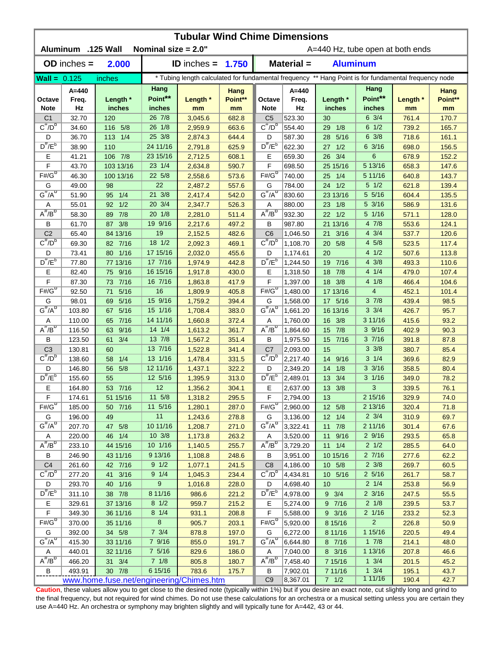| <b>Tubular Wind Chime Dimensions</b><br>Aluminum .125 Wall<br>Nominal size = 2.0"<br>A=440 Hz, tube open at both ends |                                          |                      |                              |                            |                |                                     |                      |                         |                                                                                                      |                |                |  |
|-----------------------------------------------------------------------------------------------------------------------|------------------------------------------|----------------------|------------------------------|----------------------------|----------------|-------------------------------------|----------------------|-------------------------|------------------------------------------------------------------------------------------------------|----------------|----------------|--|
|                                                                                                                       | $OD$ inches $=$                          | 2.000                |                              | <b>ID</b> inches = $1.750$ |                | Material =<br><b>Aluminum</b>       |                      |                         |                                                                                                      |                |                |  |
| Wall = $0.125$                                                                                                        |                                          | inches               |                              |                            |                |                                     |                      |                         | * Tubing length calculated for fundamental frequency ** Hang Point is for fundamental frequency node |                |                |  |
|                                                                                                                       | A=440                                    |                      | Hang                         |                            | Hang           |                                     | $A=440$              |                         | Hang                                                                                                 |                | Hang           |  |
| Octave                                                                                                                | Freq.                                    | Length *             | Point**                      | Length *                   | Point**        | Octave                              | Freq.                | Length *                | Point**                                                                                              | Length *       | Point**        |  |
| <b>Note</b>                                                                                                           | Hz                                       | inches               | inches                       | mm                         | mm             | <b>Note</b>                         | Hz                   | inches                  | inches                                                                                               | mm             | mm             |  |
| C <sub>1</sub>                                                                                                        | 32.70                                    | 120                  | 26 7/8                       | 3,045.6                    | 682.8          | C <sub>5</sub>                      | 523.30               | 30                      | $6 \frac{3}{4}$                                                                                      | 761.4          | 170.7          |  |
| $C^{\#}/D^b$                                                                                                          | 34.60                                    | 116 5/8              | 26 1/8                       | 2,959.9                    | 663.6          | $C^{\#}/D^D$                        | 554.40               | 1/8<br>29               | $6 \frac{1}{2}$                                                                                      | 739.2          | 165.7          |  |
| D                                                                                                                     | 36.70                                    | 113 1/4              | 25 3/8                       | 2,874.3                    | 644.4          | D                                   | 587.30               | 5/16<br>28              | $6 \frac{3}{8}$                                                                                      | 718.6          | 161.1          |  |
| $D^{\#}/E^b$                                                                                                          | 38.90                                    | 110                  | 24 11/16                     | 2,791.8                    | 625.9          | $D^{\#}/E^b$                        | 622.30               | $27 \t1/2$              | 63/16                                                                                                | 698.0          | 156.5          |  |
| Е                                                                                                                     | 41.21                                    | 106 7/8              | 23 15/16                     | 2,712.5                    | 608.1          | Е                                   | 659.30               | 26 3/4                  | $6\phantom{1}6$                                                                                      | 678.9          | 152.2          |  |
| F                                                                                                                     | 43.70                                    | 103 13/16            | 23 1/4                       | 2,634.8                    | 590.7          | F                                   | 698.50               | 25 15/16                | 5 13/16                                                                                              | 658.3          | 147.6          |  |
| $F# / G^D$                                                                                                            | 46.30                                    | 100 13/16            | 22 5/8                       | 2,558.6                    | 573.6          | $F#/\overline{G}^D$                 | 740.00               | 25<br>1/4               | 5 11/16                                                                                              | 640.8          | 143.7          |  |
| G                                                                                                                     | 49.00                                    | 98                   | 22                           | 2,487.2                    | 557.6          | G                                   | 784.00               | 24 1/2                  | $5 \t1/2$                                                                                            | 621.8          | 139.4          |  |
| $G^{\#}/A^D$                                                                                                          | 51.90                                    | 1/4<br>95            | 21 3/8                       | 2,417.4                    | 542.0          | $G^H/A^D$                           | 830.60               | 23 13/16                | 5 5/16                                                                                               | 604.4          | 135.5          |  |
| Α                                                                                                                     | 55.01                                    | 1/2<br>92            | 20 3/4                       | 2,347.7                    | 526.3          | Α                                   | 880.00               | 1/8<br>23               | 5 3/16                                                                                               | 586.9          | 131.6          |  |
| $A^{\#}/B^D$                                                                                                          | 58.30                                    | 7/8<br>89            | 20 1/8                       | 2,281.0                    | 511.4          | $A^{\#}/B^D$                        | 932.30               | $22 \t1/2$              | 5 1/16                                                                                               | 571.1          | 128.0          |  |
| В                                                                                                                     | 61.70                                    | 3/8<br>87            | 19 9/16                      | 2,217.6                    | 497.2          | В                                   | 987.80               | 21 13/16                | 4 7/8                                                                                                | 553.6          | 124.1          |  |
| C <sub>2</sub>                                                                                                        | 65.40                                    | 84 13/16             | 19                           | 2,152.5                    | 482.6          | C <sub>6</sub>                      | 1,046.50             | 3/16<br>21              | $4 \frac{3}{4}$                                                                                      | 537.7          | 120.6          |  |
| $C^{\#}/D^D$                                                                                                          | 69.30                                    | 82 7/16              | 18 1/2                       | 2,092.3                    | 469.1          | $C^{\prime\prime}/D^D$              | 1,108.70             | 20 5/8                  | 4 5/8                                                                                                | 523.5          | 117.4          |  |
| D<br>$D^{\frac{\pi}{}}/E^b$                                                                                           | 73.41                                    | 80 1/16              | 17 15/16<br>17 7/16          | 2,032.0                    | 455.6          | D<br>$D^{\pi}/E^b$                  | 1,174.61             | 20                      | 41/2<br>$4 \frac{3}{8}$                                                                              | 507.6          | 113.8          |  |
| Е                                                                                                                     | 77.80<br>82.40                           | 77 13/16<br>75 9/16  | 16 15/16                     | 1,974.9<br>1,917.8         | 442.8<br>430.0 | Е                                   | 1,244.50<br>1,318.50 | 7/16<br>19<br>7/8<br>18 | 4 1/4                                                                                                | 493.3<br>479.0 | 110.6<br>107.4 |  |
| F                                                                                                                     | 87.30                                    | 73 7/16              | 16 7/16                      | 1,863.8                    | 417.9          | F                                   | 1,397.00             | 18 3/8                  | 4 1/8                                                                                                | 466.4          | 104.6          |  |
| $F# / G^D$                                                                                                            | 92.50                                    | 5/16<br>71           | 16                           | 1,809.9                    | 405.8          | $F#/\overline{G}^D$                 | 1,480.00             | 17 13/16                | $\overline{4}$                                                                                       | 452.1          | 101.4          |  |
| G                                                                                                                     | 98.01                                    | 5/16<br>69           | 15 9/16                      | 1,759.2                    | 394.4          | G                                   | 1,568.00             | 17 5/16                 | 37/8                                                                                                 | 439.4          | 98.5           |  |
| $G^{\#}/A^D$                                                                                                          | 103.80                                   | 5/16<br>67           | 15 1/16                      | 1,708.4                    | 383.0          | $G^{\#}/A^D$                        | 1,661.20             | 16 13/16                | $3 \frac{3}{4}$                                                                                      | 426.7          | 95.7           |  |
| Α                                                                                                                     | 110.00                                   | $7/16$<br>65         | 14 11/16                     | 1,660.8                    | 372.4          | Α                                   | 1,760.00             | 16 3/8                  | 311/16                                                                                               | 415.6          | 93.2           |  |
| $A^{\#}/B^D$                                                                                                          | 116.50                                   | 9/16<br>63           | $14 \frac{1}{4}$             | 1,613.2                    | 361.7          | $A^H/B^D$                           | 1,864.60             | 15 7/8                  | 39/16                                                                                                | 402.9          | 90.3           |  |
| B                                                                                                                     | 123.50                                   | 3/4<br>61            | 13 7/8                       | 1,567.2                    | 351.4          | B                                   | 1,975.50             | 15 7/16                 | 37/16                                                                                                | 391.8          | 87.8           |  |
| C <sub>3</sub>                                                                                                        | 130.81                                   | 60                   | 13 7/16                      | 1,522.8                    | 341.4          | C <sub>7</sub>                      | 2,093.00             | 15                      | $3 \frac{3}{8}$                                                                                      | 380.7          | 85.4           |  |
| $C^{\#}/D^b$                                                                                                          | 138.60                                   | 1/4<br>58            | 13 1/16                      | 1,478.4                    | 331.5          | $C^{\prime\prime}/D^{\prime\prime}$ | 2,217.40             | 14 9/16                 | $3 \t1/4$                                                                                            | 369.6          | 82.9           |  |
| D                                                                                                                     | 146.80                                   | 5/8<br>56            | 12 11/16                     | 1,437.1                    | 322.2          | D                                   | 2,349.20             | 14 1/8                  | $3 \frac{3}{16}$                                                                                     | 358.5          | 80.4           |  |
| $D^{\#}/E^b$                                                                                                          | 155.60                                   | 55                   | 12 5/16                      | 1,395.9                    | 313.0          | $D^{\prime\prime}/E^b$              | 2,489.01             | 13<br>3/4               | $3 \frac{1}{16}$                                                                                     | 349.0          | 78.2           |  |
| Е                                                                                                                     | 164.80                                   | 53 7/16              | 12                           | 1,356.2                    | 304.1          | Е                                   | 2,637.00             | 13 3/8                  | 3                                                                                                    | 339.5          | 76.1           |  |
| F                                                                                                                     | 174.61                                   | 51 15/16             | $11 \t 5/8$                  | 1,318.2                    | 295.5          | F                                   | 2,794.00             | 13                      | 215/16                                                                                               | 329.9          | 74.0           |  |
| $F# / G^D$                                                                                                            | 185.00                                   | 50 7/16              | 11 5/16                      | 1,280.1                    | 287.0          | $F# / G^D$                          | 2,960.00             | 12 5/8                  | 2 13/16                                                                                              | 320.4          | 71.8           |  |
| G                                                                                                                     | 196.00                                   | 49                   | 11                           | 1,243.6                    | 278.8          | G                                   | 3,136.00             | $12 \t1/4$              | $2 \frac{3}{4}$                                                                                      | 310.9          | 69.7           |  |
| $G^{\#}/A^D$                                                                                                          | 207.70                                   | 47 5/8               | 10 11/16                     | 1,208.7                    | 271.0          | $G^H/A^D$                           | 3,322.41             | $11 \t 7/8$             | 2 11/16                                                                                              | 301.4          | 67.6           |  |
| Α                                                                                                                     | 220.00                                   | 46 1/4               | 10 3/8                       | 1,173.8                    | 263.2          | Α                                   | 3,520.00             | 11 9/16                 | 29/16                                                                                                | 293.5          | 65.8           |  |
| $A^{\#}/B^D$                                                                                                          | 233.10                                   | 44 15/16             | 10 1/16                      | 1,140.5                    | 255.7          | $A^{\#}/B^D$                        | 3,729.20             | $11 \t1/4$              | $2 \frac{1}{2}$                                                                                      | 285.5          | 64.0           |  |
| В                                                                                                                     | 246.90                                   | 43 11/16             | 9 13/16                      | 1,108.8                    | 248.6          | В                                   | 3,951.00             | 10 15/16                | 27/16                                                                                                | 277.6          | 62.2           |  |
| C <sub>4</sub>                                                                                                        | 261.60                                   | 42 7/16              | $9 \frac{1}{2}$              | 1,077.1                    | 241.5          | C <sub>8</sub>                      | 4,186.00             | 10 5/8                  | $2 \frac{3}{8}$                                                                                      | 269.7          | 60.5           |  |
| $C^{\frac{\pi}{}}/D^b$                                                                                                | 277.20                                   | 41 3/16              | $9 \t1/4$                    | 1,045.3                    | 234.4          | $C^{\pi}/D^b$                       | 4,434.81             | 10 5/16                 | $2\;5/16$                                                                                            | 261.7          | 58.7           |  |
| D<br>$D^{\frac{\pi}{r}}/E^b$                                                                                          | 293.70                                   | 40 1/16              | $9\,$                        | 1,016.8                    | 228.0          | D<br>$D^{\#}/E^b$                   | 4,698.40             | 10                      | $2 \frac{1}{4}$                                                                                      | 253.8          | 56.9           |  |
|                                                                                                                       | 311.10                                   | 38 7/8               | 8 11/16                      | 986.6                      | 221.2          |                                     | 4,978.00             | $9 \t3/4$               | $2 \frac{3}{16}$                                                                                     | 247.5          | 55.5           |  |
| Е<br>F                                                                                                                | 329.61<br>349.30                         | 37 13/16<br>36 11/16 | $8 \frac{1}{2}$<br>$8 \t1/4$ | 959.7<br>931.1             | 215.2          | E.<br>F                             | 5,274.00             | 97/16<br>9 3/16         | $2 \frac{1}{8}$<br>2 1/16                                                                            | 239.5<br>233.2 | 53.7<br>52.3   |  |
| $F#/\overline{G}^D$                                                                                                   | 370.00                                   | 35 11/16             | $8\phantom{1}$               | 905.7                      | 208.8<br>203.1 | $F#/\overline{G}^D$                 | 5,588.00<br>5,920.00 | 8 15/16                 | $\overline{2}$                                                                                       | 226.8          | 50.9           |  |
| G                                                                                                                     | 392.00                                   | 34 5/8               | $7 \frac{3}{4}$              | 878.8                      | 197.0          | G                                   | 6,272.00             | 8 11/16                 | 1 15/16                                                                                              | 220.5          | 49.4           |  |
| $G^{\#}/A^D$                                                                                                          | 415.30                                   | 33 11/16             | 7 9/16                       | 855.0                      | 191.7          | $G^H/A^D$                           | 6,644.80             | 8 7/16                  | $1 \t7/8$                                                                                            | 214.1          | 48.0           |  |
| Α                                                                                                                     | 440.01                                   | 32 11/16             | 7 5/16                       | 829.6                      | 186.0          | Α                                   | 7,040.00             | 8 3/16                  | 1 13/16                                                                                              | 207.8          | 46.6           |  |
| $A^{\#}/B^D$                                                                                                          | 466.20                                   | 31   3/4             | $7 \t1/8$                    | 805.8                      | 180.7          | $A^H/B^D$                           | 7,458.40             | 7 15/16                 | $1 \frac{3}{4}$                                                                                      | 201.5          | 45.2           |  |
| В                                                                                                                     | 493.91                                   | 30 7/8               | 6 15/16                      | 783.6                      | 175.7          | В                                   | 7,902.01             | 7 11/16                 | $1 \frac{3}{4}$                                                                                      | 195.1          | 43.7           |  |
|                                                                                                                       | www.home.fuse.net/engineering/Chimes.htm |                      |                              |                            |                |                                     |                      | $7$ $1/2$               | 111/16                                                                                               | 190.4          | 42.7           |  |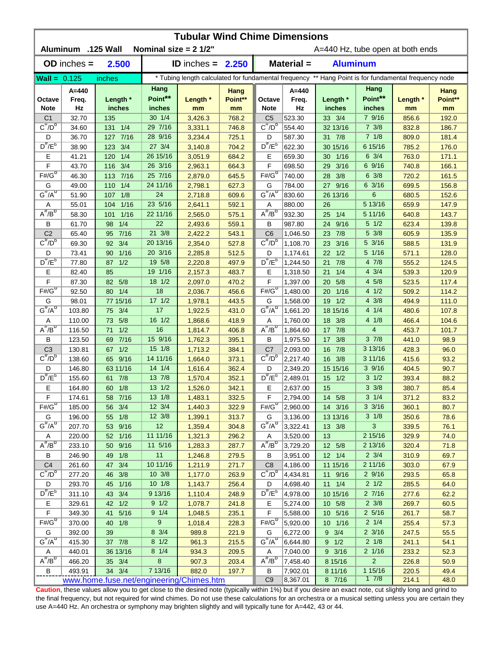| <b>Tubular Wind Chime Dimensions</b><br>Aluminum .125 Wall<br>Nominal size = $2 \frac{1}{2}$ |                          |                    |                           |                    |                                  |                                                                                                      |                          |                      |                            |                |                       |  |  |
|----------------------------------------------------------------------------------------------|--------------------------|--------------------|---------------------------|--------------------|----------------------------------|------------------------------------------------------------------------------------------------------|--------------------------|----------------------|----------------------------|----------------|-----------------------|--|--|
|                                                                                              |                          |                    |                           |                    | A=440 Hz, tube open at both ends |                                                                                                      |                          |                      |                            |                |                       |  |  |
| $OD$ inches $=$<br>2.500<br><b>ID</b> inches = $2.250$                                       |                          |                    |                           |                    |                                  | Material =<br><b>Aluminum</b>                                                                        |                          |                      |                            |                |                       |  |  |
| <b>Wall = <math>0.125</math></b>                                                             |                          | inches             |                           |                    |                                  | * Tubing length calculated for fundamental frequency ** Hang Point is for fundamental frequency node |                          |                      |                            |                |                       |  |  |
| Octave<br><b>Note</b>                                                                        | $A = 440$<br>Freq.<br>Hz | Length *<br>inches | Hang<br>Point**<br>inches | Length *<br>mm     | Hang<br>Point**<br>mm            | Octave<br><b>Note</b>                                                                                | $A = 440$<br>Freq.<br>Hz | Length *<br>inches   | Hang<br>Point**<br>inches  | Length *<br>mm | Hang<br>Point**<br>mm |  |  |
| C <sub>1</sub>                                                                               | 32.70                    | 135                | 30 1/4                    | 3,426.3            | 768.2                            | C <sub>5</sub>                                                                                       | 523.30                   | 33 3/4               | 7 9/16                     | 856.6          | 192.0                 |  |  |
| $C^{\#}/D^b$                                                                                 | 34.60                    | 131 1/4            | 29 7/16                   | 3,331.1            | 746.8                            | $C^{\pi}/D^b$                                                                                        | 554.40                   | 32 13/16             | $7 \frac{3}{8}$            | 832.8          | 186.7                 |  |  |
| D                                                                                            | 36.70                    | 7/16<br>127        | 28 9/16                   | 3,234.4            | 725.1                            | D                                                                                                    | 587.30                   | 31 7/8               | 71/8                       | 809.0          | 181.4                 |  |  |
| $D^{\#}/E^b$                                                                                 | 38.90                    | 3/4<br>123         | 27 3/4                    | 3,140.8            | 704.2                            | $D^{\#}/E^b$                                                                                         | 622.30                   | 30 15/16             | 6 15/16                    | 785.2          | 176.0                 |  |  |
| Ε                                                                                            | 41.21                    | 1/4<br>120         | 26 15/16                  | 3,051.9            | 684.2                            | Е                                                                                                    | 659.30                   | 1/16<br>30           | $6 \frac{3}{4}$            | 763.0          | 171.1                 |  |  |
| F                                                                                            | 43.70                    | 3/4<br>116         | 26 3/16                   | 2,963.1            | 664.3                            | F                                                                                                    | 698.50                   | 3/16<br>29           | 6 9/16                     | 740.8          | 166.1                 |  |  |
| $F# / G^D$                                                                                   | 46.30                    | 7/16<br>113        | 25 7/16                   | 2,879.0            | 645.5                            | $F#/\overline{G}^D$                                                                                  | 740.00                   | 3/8<br>28            | $6 \frac{3}{8}$            | 720.2          | 161.5                 |  |  |
| G                                                                                            | 49.00                    | 1/4<br>110         | 24 11/16                  | 2,798.1            | 627.3                            | G                                                                                                    | 784.00                   | 27 9/16              | $6\frac{3}{16}$            | 699.5          | 156.8                 |  |  |
| $G^{\#}/A^D$                                                                                 | 51.90                    | 1/8<br>107         | 24                        | 2,718.8            | 609.6                            | $G^H/A^D$                                                                                            | 830.60                   | 26 13/16             | $6\phantom{1}$             | 680.5          | 152.6                 |  |  |
| Α                                                                                            | 55.01                    | 1/16<br>104        | 23 5/16                   | 2,641.1            | 592.1                            | Α                                                                                                    | 880.00                   | 26                   | 5 13/16                    | 659.9          | 147.9                 |  |  |
| $A^H/B^D$                                                                                    | 58.30                    | 1/16<br>101        | 22 11/16                  | 2,565.0            | 575.1                            | $A^H/B^D$                                                                                            | 932.30                   | 1/4<br>25            | 5 11/16                    | 640.8          | 143.7                 |  |  |
| В                                                                                            | 61.70                    | 1/4<br>98          | 22                        | 2,493.6            | 559.1                            | В                                                                                                    | 987.80                   | 24<br>9/16           | $5 \frac{1}{2}$            | 623.4          | 139.8                 |  |  |
| C <sub>2</sub><br>$C^{\#}/D^D$                                                               | 65.40                    | 7/16<br>95         | 21 3/8                    | 2,422.2            | 543.1                            | C <sub>6</sub><br>$C^{\prime\prime}/D^D$                                                             | 1,046.50                 | 23 7/8               | 5 3/8                      | 605.9          | 135.9                 |  |  |
|                                                                                              | 69.30                    | 3/4<br>92          | 20 13/16                  | 2,354.0            | 527.8                            |                                                                                                      | 1,108.70                 | 3/16<br>23           | 5 3/16                     | 588.5          | 131.9                 |  |  |
| D<br>$D^{\pi}/E^b$                                                                           | 73.41                    | 1/16<br>90<br>1/2  | 20 3/16<br>19 5/8         | 2,285.8            | 512.5                            | D<br>$D^{\#}/E^b$                                                                                    | 1,174.61                 | $22 \t1/2$<br>21 7/8 | $5 \t1/16$<br>4 7/8        | 571.1          | 128.0                 |  |  |
| E                                                                                            | 77.80<br>82.40           | 87<br>85           | 19 1/16                   | 2,220.8<br>2,157.3 | 497.9<br>483.7                   | Е                                                                                                    | 1,244.50<br>1,318.50     | 1/4<br>21            | $4 \frac{3}{4}$            | 555.2<br>539.3 | 124.5<br>120.9        |  |  |
| F                                                                                            | 87.30                    | 5/8<br>82          | 18 1/2                    | 2,097.0            | 470.2                            | F                                                                                                    | 1,397.00                 | 5/8<br>20            | 4 5/8                      | 523.5          | 117.4                 |  |  |
| $F# / G^D$                                                                                   | 92.50                    | 1/4<br>80          | 18                        | 2,036.7            | 456.6                            | $F#/\overline{G}^D$                                                                                  | 1,480.00                 | 1/16<br>20           | $4 \frac{1}{2}$            | 509.2          | 114.2                 |  |  |
| G                                                                                            | 98.01                    | 77 15/16           | $17 \frac{1}{2}$          | 1,978.1            | 443.5                            | G                                                                                                    | 1,568.00                 | 19<br>1/2            | $4 \frac{3}{8}$            | 494.9          | 111.0                 |  |  |
| $G^{\#}/A^D$                                                                                 | 103.80                   | 3/4<br>75          | 17                        | 1,922.5            | 431.0                            | $G^{\overline{\#}/A^D}$                                                                              | 1,661.20                 | 18 15/16             | 4 1/4                      | 480.6          | 107.8                 |  |  |
| Α                                                                                            | 110.00                   | 5/8<br>73          | 16 1/2                    | 1,868.6            | 418.9                            | Α                                                                                                    | 1,760.00                 | 18 3/8               | 4 1/8                      | 466.4          | 104.6                 |  |  |
| $A^H/B^D$                                                                                    | 116.50                   | 1/2<br>71          | 16                        | 1,814.7            | 406.8                            | $A^H/B^U$                                                                                            | 1,864.60                 | 17 7/8               | $\overline{4}$             | 453.7          | 101.7                 |  |  |
| В                                                                                            | 123.50                   | $7/16$<br>69       | 15 9/16                   | 1,762.3            | 395.1                            | B                                                                                                    | 1,975.50                 | 17 3/8               | $3 \frac{7}{8}$            | 441.0          | 98.9                  |  |  |
| C <sub>3</sub>                                                                               | 130.81                   | 1/2<br>67          | $15 \frac{1}{8}$          | 1,713.2            | 384.1                            | C7                                                                                                   | 2,093.00                 | 16 7/8               | 3 13/16                    | 428.3          | 96.0                  |  |  |
| $C^{\#}/D^b$                                                                                 | 138.60                   | 65 9/16            | 14 11/16                  | 1,664.0            | 373.1                            | $C^{\prime\prime}/D^b$                                                                               | 2.217.40                 | 16 3/8               | 3 11/16                    | 415.6          | 93.2                  |  |  |
| D                                                                                            | 146.80                   | 63 11/16           | $14 \frac{1}{4}$          | 1,616.4            | 362.4                            | D                                                                                                    | 2,349.20                 | 15 15/16             | $3 \frac{9}{16}$           | 404.5          | 90.7                  |  |  |
| $D^{\#}/E^b$                                                                                 | 155.60                   | 61 7/8             | 13 7/8                    | 1,570.4            | 352.1                            | $D^{\#}/E^b$                                                                                         | 2,489.01                 | $15 \t1/2$           | $3 \frac{1}{2}$            | 393.4          | 88.2                  |  |  |
| Е                                                                                            | 164.80                   | 60 1/8             | 13 1/2                    | 1,526.0            | 342.1                            | Е                                                                                                    | 2,637.00                 | 15                   | $3 \frac{3}{8}$            | 380.7          | 85.4                  |  |  |
| F                                                                                            | 174.61                   | 58 7/16            | 13 1/8                    | 1,483.1            | 332.5                            | F                                                                                                    | 2,794.00                 | 14 5/8               | $3 \t1/4$                  | 371.2          | 83.2                  |  |  |
| $F# / G^D$                                                                                   | 185.00                   | 56 3/4             | 12 3/4                    | 1,440.3            | 322.9                            | $F#/G^D$                                                                                             | 2,960.00                 | 14 3/16              | $3 \frac{3}{16}$           | 360.1          | 80.7                  |  |  |
| G                                                                                            | 196.00                   | 55 1/8             | 12 3/8                    | 1,399.1            | 313.7                            | G                                                                                                    | 3,136.00                 | 13 13/16             | $3 \frac{1}{8}$            | 350.6          | 78.6                  |  |  |
| $G^{\#}/A^D$                                                                                 | 207.70                   | 53 9/16            | 12                        | 1,359.4            | 304.8                            | $G^H/A^D$                                                                                            | 3,322.41                 | 13 3/8               | $\mathbf{3}$               | 339.5          | 76.1                  |  |  |
| A<br>$A^{\#}/B^D$                                                                            | 220.00                   | 52 1/16            | 11 11/16<br>11 5/16       | 1,321.3            | 296.2                            | A<br>$A^{\#}/B^D$                                                                                    | 3,520.00                 | 13                   | 2 15/16                    | 329.9          | 74.0                  |  |  |
| В                                                                                            | 233.10<br>246.90         | 50 9/16<br>49 1/8  | 11                        | 1,283.3<br>1,246.8 | 287.7<br>279.5                   | В                                                                                                    | 3,729.20<br>3,951.00     | 12 5/8<br>$12 \t1/4$ | 2 13/16<br>$2 \frac{3}{4}$ | 320.4<br>310.9 | 71.8<br>69.7          |  |  |
| C <sub>4</sub>                                                                               | 261.60                   | 47 3/4             | 10 11/16                  | 1,211.9            | 271.7                            | C <sub>8</sub>                                                                                       | 4,186.00                 | 11 15/16             | 2 11/16                    | 303.0          | 67.9                  |  |  |
| $C^{\frac{\pi}{}}/D^b$                                                                       | 277.20                   | 3/8<br>46          | 10 3/8                    | 1,177.0            | 263.9                            | $C^{\#}/D^b$                                                                                         | 4,434.81                 | 11 9/16              | 29/16                      | 293.5          | 65.8                  |  |  |
| D                                                                                            | 293.70                   | 45 1/16            | $10 \t1/8$                | 1,143.7            | 256.4                            | D                                                                                                    | 4,698.40                 | $11 \t1/4$           | $2 \frac{1}{2}$            | 285.5          | 64.0                  |  |  |
| $D^{\#}/E^b$                                                                                 | 311.10                   | 43 3/4             | 9 13/16                   | 1,110.4            | 248.9                            | $D^{\#}/E^b$                                                                                         | 4,978.00                 | 10 15/16             | 27/16                      | 277.6          | 62.2                  |  |  |
| Ε                                                                                            | 329.61                   | 42 1/2             | 9 1/2                     | 1,078.7            | 241.8                            | Е                                                                                                    | 5,274.00                 | 10 5/8               | $2 \frac{3}{8}$            | 269.7          | 60.5                  |  |  |
| $\mathsf F$                                                                                  | 349.30                   | 5/16<br>41         | 9 1/4                     | 1,048.5            | 235.1                            | F                                                                                                    | 5,588.00                 | 10 5/16              | $2\;5/16$                  | 261.7          | 58.7                  |  |  |
| $F# / G^D$                                                                                   | 370.00                   | 40<br>1/8          | $9\,$                     | 1,018.4            | 228.3                            | $F# / G^D$                                                                                           | 5,920.00                 | 10 1/16              | $2 \frac{1}{4}$            | 255.4          | 57.3                  |  |  |
| G                                                                                            | 392.00                   | 39                 | 8 3/4                     | 989.8              | 221.9                            | G                                                                                                    | 6,272.00                 | $9 \t3/4$            | $2 \frac{3}{16}$           | 247.5          | 55.5                  |  |  |
| $G^{\#}/A^D$                                                                                 | 415.30                   | 37 7/8             | $8 \frac{1}{2}$           | 961.3              | 215.5                            | $G''/A^D$                                                                                            | 6,644.80                 | 9 1/2                | $2 \frac{1}{8}$            | 241.1          | 54.1                  |  |  |
| A                                                                                            | 440.01                   | 36 13/16           | $8 \t1/4$                 | 934.3              | 209.5                            | A                                                                                                    | 7,040.00                 | 9 3/16               | $2 \frac{1}{16}$           | 233.2          | 52.3                  |  |  |
| $A^H/B^D$                                                                                    | 466.20                   | 35 3/4             | $\bf 8$                   | 907.3              | 203.4                            | $A^H/B^D$                                                                                            | 7,458.40                 | 8 15/16              | $\overline{2}$             | 226.8          | 50.9                  |  |  |
| В                                                                                            | 493.91                   | 34 3/4             | 7 13/16                   | 882.0              | 197.7                            | В<br>C <sub>9</sub>                                                                                  | 7,902.01                 | 8 11/16              | 1 15/16                    | 220.5          | 49.4                  |  |  |
| www.home.fuse.net/engineering/Chimes.htm                                                     |                          |                    |                           |                    |                                  |                                                                                                      | 8,367.01                 | 8 7/16               | 17/8                       | 214.1          | 48.0                  |  |  |